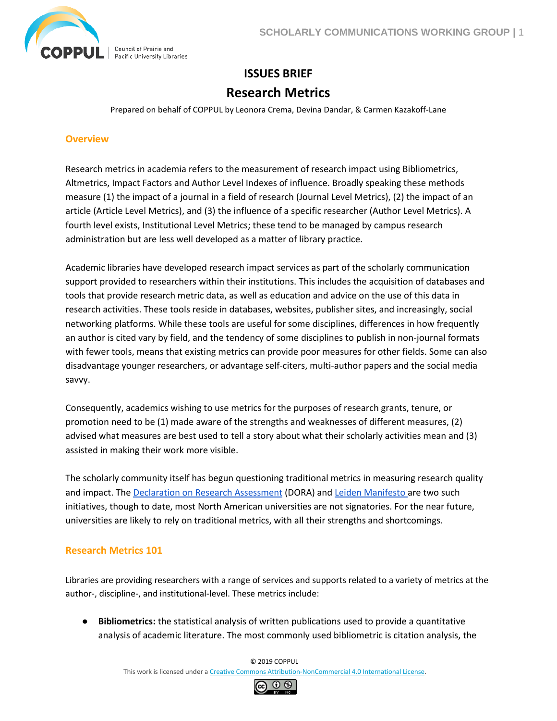

# **ISSUES BRIEF Research Metrics**

Prepared on behalf of COPPUL by Leonora Crema, Devina Dandar, & Carmen Kazakoff-Lane

#### **Overview**

Research metrics in academia refers to the measurement of research impact using Bibliometrics, Altmetrics, Impact Factors and Author Level Indexes of influence. Broadly speaking these methods measure (1) the impact of a journal in a field of research (Journal Level Metrics), (2) the impact of an article (Article Level Metrics), and (3) the influence of a specific researcher (Author Level Metrics). A fourth level exists, Institutional Level Metrics; these tend to be managed by campus research administration but are less well developed as a matter of library practice.

Academic libraries have developed research impact services as part of the scholarly communication support provided to researchers within their institutions. This includes the acquisition of databases and tools that provide research metric data, as well as education and advice on the use of this data in research activities. These tools reside in databases, websites, publisher sites, and increasingly, social networking platforms. While these tools are useful for some disciplines, differences in how frequently an author is cited vary by field, and the tendency of some disciplines to publish in non-journal formats with fewer tools, means that existing metrics can provide poor measures for other fields. Some can also disadvantage younger researchers, or advantage self-citers, multi-author papers and the social media savvy.

Consequently, academics wishing to use metrics for the purposes of research grants, tenure, or promotion need to be (1) made aware of the strengths and weaknesses of different measures, (2) advised what measures are best used to tell a story about what their scholarly activities mean and (3) assisted in making their work more visible.

The scholarly community itself has begun questioning traditional metrics in measuring research quality and impact. Th[e Declaration on Research Assessment](https://sfdora.org/) (DORA) and [Leiden Manifesto a](http://www.leidenmanifesto.org/)re two such initiatives, though to date, most North American universities are not signatories. For the near future, universities are likely to rely on traditional metrics, with all their strengths and shortcomings.

### **Research Metrics 101**

Libraries are providing researchers with a range of services and supports related to a variety of metrics at the author-, discipline-, and institutional-level. These metrics include:

● **Bibliometrics:** the statistical analysis of written publications used to provide a quantitative analysis of academic literature. The most commonly used bibliometric is citation analysis, the

© 2019 COPPUL

This work is licensed under a [Creative Commons Attribution-NonCommercial 4.0 International License.](http://creativecommons.org/licenses/by-nc/4.0/)

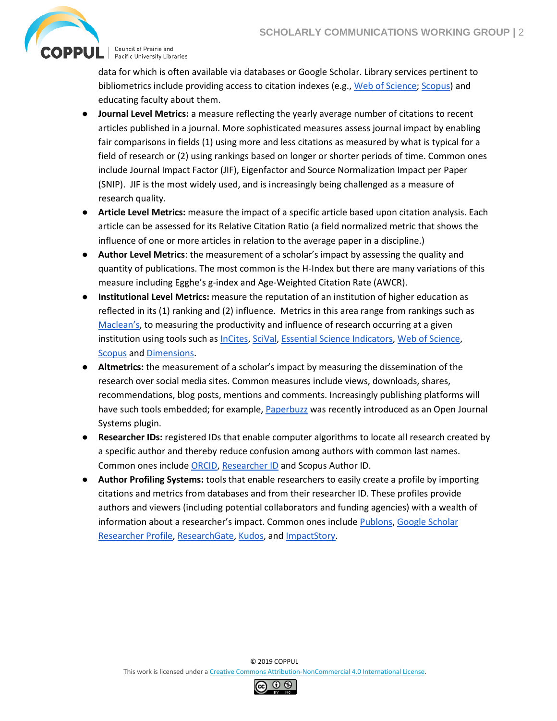

Council of Prairie and<br>Pacific University Libraries

data for which is often available via databases or Google Scholar. Library services pertinent to bibliometrics include providing access to citation indexes (e.g., [Web of Science;](https://clarivate.com/products/web-of-science/) [Scopus\)](https://www.scopus.com/) and educating faculty about them.

- **Journal Level Metrics:** a measure reflecting the yearly average number of citations to recent articles published in a journal. More sophisticated measures assess journal impact by enabling fair comparisons in fields (1) using more and less citations as measured by what is typical for a field of research or (2) using rankings based on longer or shorter periods of time. Common ones include Journal Impact Factor (JIF), Eigenfactor and Source Normalization Impact per Paper (SNIP). JIF is the most widely used, and is increasingly being challenged as a measure of research quality.
- **Article Level Metrics:** measure the impact of a specific article based upon citation analysis. Each article can be assessed for its Relative Citation Ratio (a field normalized metric that shows the influence of one or more articles in relation to the average paper in a discipline.)
- **Author Level Metrics**: the measurement of a scholar's impact by assessing the quality and quantity of publications. The most common is the H-Index but there are many variations of this measure including Egghe's g-index and Age-Weighted Citation Rate (AWCR).
- **Institutional Level Metrics:** measure the reputation of an institution of higher education as reflected in its (1) ranking and (2) influence. Metrics in this area range from rankings such as [Maclean's](https://www.macleans.ca/education/university-rankings/), to measuring the productivity and influence of research occurring at a given institution using tools such as [InCites,](https://clarivate.com/products/incites/) [SciVal,](https://www.scival.com/) [Essential Science Indicators,](https://clarivate.com/products/essential-science-indicators/) [Web of Science,](https://clarivate.com/products/web-of-science/) [Scopus](https://www.scopus.com/) and [Dimensions.](https://www.dimensions.ai/)
- **Altmetrics:** the measurement of a scholar's impact by measuring the dissemination of the research over social media sites. Common measures include views, downloads, shares, recommendations, blog posts, mentions and comments. Increasingly publishing platforms will have such tools embedded; for example, [Paperbuzz](https://paperbuzz.org/) was recently introduced as an Open Journal Systems plugin.
- **Researcher IDs:** registered IDs that enable computer algorithms to locate all research created by a specific author and thereby reduce confusion among authors with common last names. Common ones include [ORCID,](https://orcid.org/) [Researcher ID](https://www.researcherid.com/#rid-for-researchers) and Scopus Author ID.
- **Author Profiling Systems:** tools that enable researchers to easily create a profile by importing citations and metrics from databases and from their researcher ID. These profiles provide authors and viewers (including potential collaborators and funding agencies) with a wealth of information about a researcher's impact. Common ones include [Publons,](https://publons.com/in/researcher/) [Google Scholar](https://accounts.google.com/signin/v2/identifier?hl=en&continue=https%3A%2F%2Fscholar.google.com%2Fcitations&service=citations&flowName=GlifWebSignIn&flowEntry=ServiceLogin)  [Researcher Profile,](https://accounts.google.com/signin/v2/identifier?hl=en&continue=https%3A%2F%2Fscholar.google.com%2Fcitations&service=citations&flowName=GlifWebSignIn&flowEntry=ServiceLogin) [ResearchGate,](https://www.researchgate.net/) [Kudos,](https://www.growkudos.com/) and [ImpactStory.](https://profiles.impactstory.org/)

© 2019 COPPUL This work is licensed under a [Creative Commons Attribution-NonCommercial 4.0 International License.](http://creativecommons.org/licenses/by-nc/4.0/)

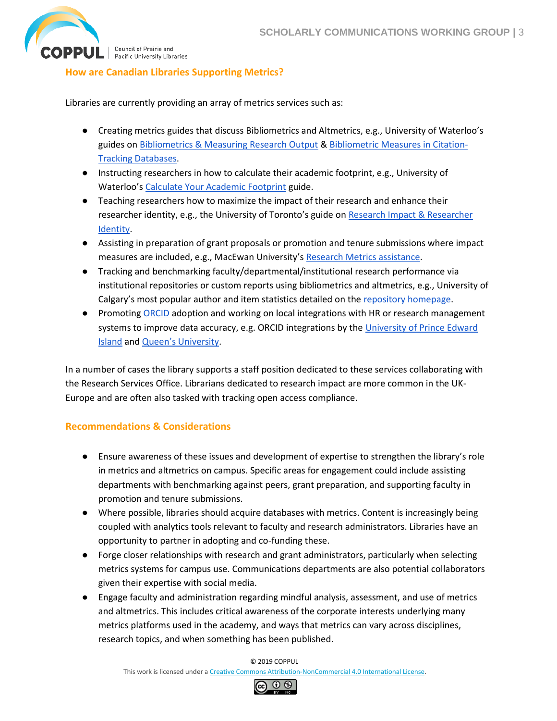

 $\mathbf{OPPUL}$   $\vert$  Council of Prairie and

## **How are Canadian Libraries Supporting Metrics?**

Libraries are currently providing an array of metrics services such as:

- Creating metrics guides that discuss Bibliometrics and Altmetrics, e.g., University of Waterloo's guides o[n Bibliometrics & Measuring Research Output](https://subjectguides.uwaterloo.ca/bibliometrics) & [Bibliometric Measures in Citation-](https://subjectguides.uwaterloo.ca/bibliometric_measures)[Tracking Databases.](https://subjectguides.uwaterloo.ca/bibliometric_measures)
- Instructing researchers in how to calculate their academic footprint, e.g., University of Waterloo's [Calculate Your Academic Footprint](https://subjectguides.uwaterloo.ca/calculate-academic-footprint) guide.
- Teaching researchers how to maximize the impact of their research and enhance their researcher identity, e.g., the University of Toronto's guide on Research Impact & Researcher [Identity.](https://guides.library.utoronto.ca/c.php?g=516222&p=4594543)
- Assisting in preparation of grant proposals or promotion and tenure submissions where impact measures are included, e.g., MacEwan University's [Research Metrics assistance.](https://library.macewan.ca/services/publishing-support/research-metrics)
- Tracking and benchmarking faculty/departmental/institutional research performance via institutional repositories or custom reports using bibliometrics and altmetrics, e.g., University of Calgary's most popular author and item statistics detailed on the [repository homepage.](https://prism.ucalgary.ca/)
- Promotin[g ORCID](https://orcid.org/) adoption and working on local integrations with HR or research management systems to improve data accuracy, e.g. ORCID integrations by th[e University of Prince Edward](https://islandscholar.ca/content/islandscholars-orcid-integration)  [Island](https://islandscholar.ca/content/islandscholars-orcid-integration) and [Queen's University](https://www.queensu.ca/its/interfolio-faculty180).

In a number of cases the library supports a staff position dedicated to these services collaborating with the Research Services Office. Librarians dedicated to research impact are more common in the UK-Europe and are often also tasked with tracking open access compliance.

### **Recommendations & Considerations**

- Ensure awareness of these issues and development of expertise to strengthen the library's role in metrics and altmetrics on campus. Specific areas for engagement could include assisting departments with benchmarking against peers, grant preparation, and supporting faculty in promotion and tenure submissions.
- Where possible, libraries should acquire databases with metrics. Content is increasingly being coupled with analytics tools relevant to faculty and research administrators. Libraries have an opportunity to partner in adopting and co-funding these.
- Forge closer relationships with research and grant administrators, particularly when selecting metrics systems for campus use. Communications departments are also potential collaborators given their expertise with social media.
- Engage faculty and administration regarding mindful analysis, assessment, and use of metrics and altmetrics. This includes critical awareness of the corporate interests underlying many metrics platforms used in the academy, and ways that metrics can vary across disciplines, research topics, and when something has been published.

© 2019 COPPUL